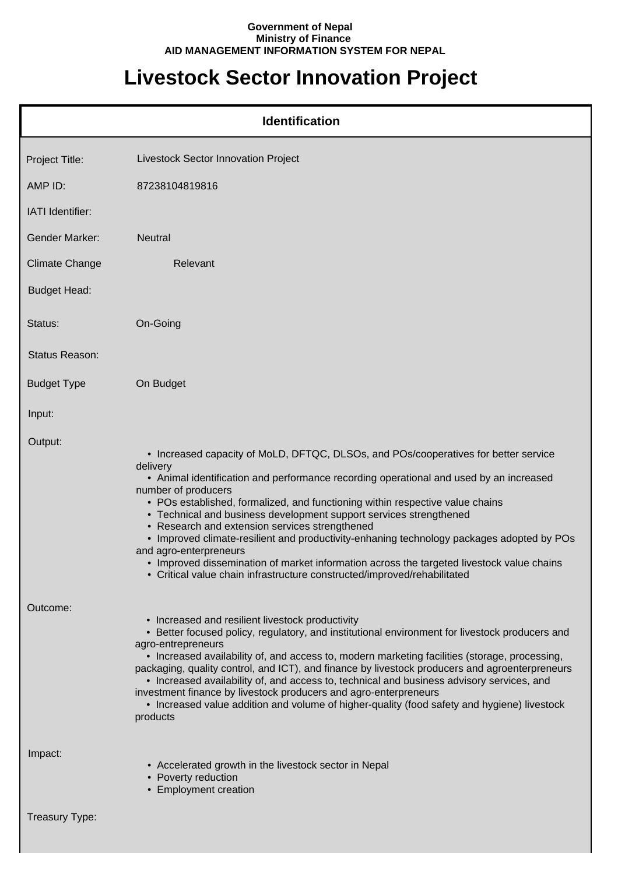## **Government of Nepal Ministry of Finance AID MANAGEMENT INFORMATION SYSTEM FOR NEPAL**

## **Livestock Sector Innovation Project**

| <b>Identification</b> |                                                                                                                                                                                                                                                                                                                                                                                                                                                                                                                                                                                                                                                                                                                           |  |
|-----------------------|---------------------------------------------------------------------------------------------------------------------------------------------------------------------------------------------------------------------------------------------------------------------------------------------------------------------------------------------------------------------------------------------------------------------------------------------------------------------------------------------------------------------------------------------------------------------------------------------------------------------------------------------------------------------------------------------------------------------------|--|
| Project Title:        | Livestock Sector Innovation Project                                                                                                                                                                                                                                                                                                                                                                                                                                                                                                                                                                                                                                                                                       |  |
| AMP ID:               | 87238104819816                                                                                                                                                                                                                                                                                                                                                                                                                                                                                                                                                                                                                                                                                                            |  |
| IATI Identifier:      |                                                                                                                                                                                                                                                                                                                                                                                                                                                                                                                                                                                                                                                                                                                           |  |
| <b>Gender Marker:</b> | <b>Neutral</b>                                                                                                                                                                                                                                                                                                                                                                                                                                                                                                                                                                                                                                                                                                            |  |
| <b>Climate Change</b> | Relevant                                                                                                                                                                                                                                                                                                                                                                                                                                                                                                                                                                                                                                                                                                                  |  |
| <b>Budget Head:</b>   |                                                                                                                                                                                                                                                                                                                                                                                                                                                                                                                                                                                                                                                                                                                           |  |
| Status:               | On-Going                                                                                                                                                                                                                                                                                                                                                                                                                                                                                                                                                                                                                                                                                                                  |  |
| <b>Status Reason:</b> |                                                                                                                                                                                                                                                                                                                                                                                                                                                                                                                                                                                                                                                                                                                           |  |
| <b>Budget Type</b>    | On Budget                                                                                                                                                                                                                                                                                                                                                                                                                                                                                                                                                                                                                                                                                                                 |  |
| Input:                |                                                                                                                                                                                                                                                                                                                                                                                                                                                                                                                                                                                                                                                                                                                           |  |
| Output:               | • Increased capacity of MoLD, DFTQC, DLSOs, and POs/cooperatives for better service<br>delivery<br>• Animal identification and performance recording operational and used by an increased<br>number of producers<br>• POs established, formalized, and functioning within respective value chains<br>• Technical and business development support services strengthened<br>• Research and extension services strengthened<br>• Improved climate-resilient and productivity-enhaning technology packages adopted by POs<br>and agro-enterpreneurs<br>• Improved dissemination of market information across the targeted livestock value chains<br>• Critical value chain infrastructure constructed/improved/rehabilitated |  |
| Outcome:              | • Increased and resilient livestock productivity<br>• Better focused policy, regulatory, and institutional environment for livestock producers and<br>agro-entrepreneurs<br>• Increased availability of, and access to, modern marketing facilities (storage, processing,<br>packaging, quality control, and ICT), and finance by livestock producers and agroenterpreneurs<br>• Increased availability of, and access to, technical and business advisory services, and<br>investment finance by livestock producers and agro-enterpreneurs<br>• Increased value addition and volume of higher-quality (food safety and hygiene) livestock<br>products                                                                   |  |
| Impact:               | • Accelerated growth in the livestock sector in Nepal<br>• Poverty reduction<br>• Employment creation                                                                                                                                                                                                                                                                                                                                                                                                                                                                                                                                                                                                                     |  |
| Treasury Type:        |                                                                                                                                                                                                                                                                                                                                                                                                                                                                                                                                                                                                                                                                                                                           |  |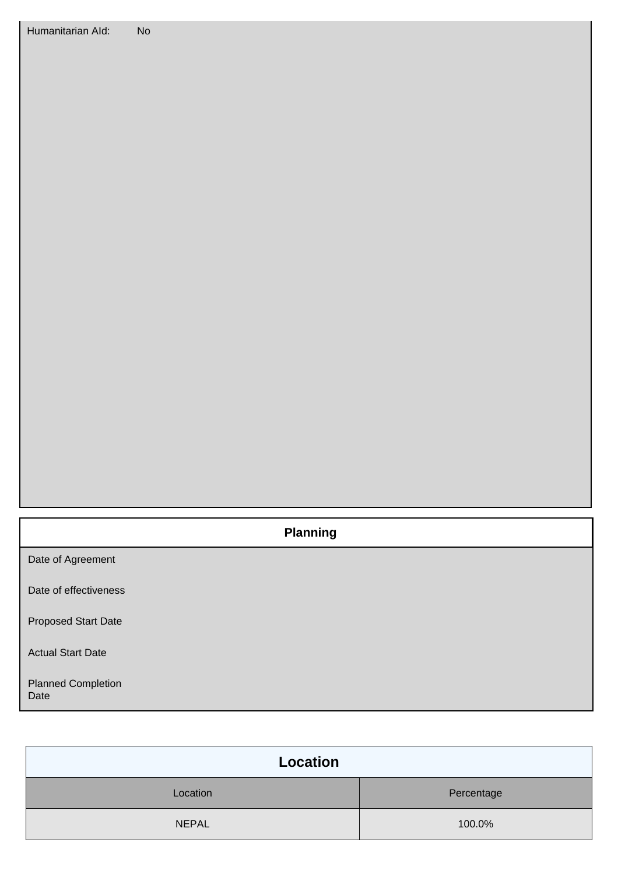## **Planning**

Date of Agreement

Date of effectiveness

Proposed Start Date

Actual Start Date

Planned Completion Date

| Location     |            |
|--------------|------------|
| Location     | Percentage |
| <b>NEPAL</b> | 100.0%     |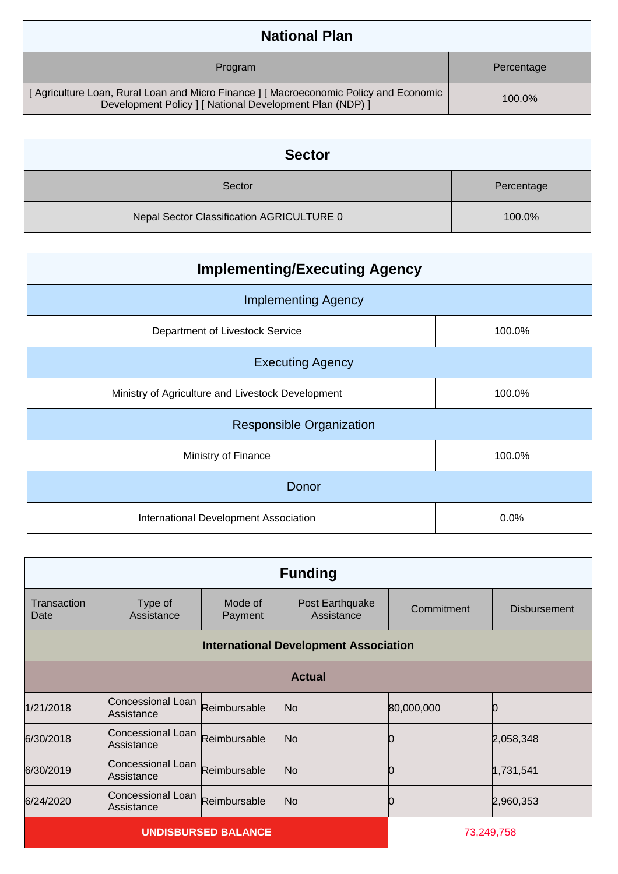| <b>National Plan</b>                                                                                                                            |            |
|-------------------------------------------------------------------------------------------------------------------------------------------------|------------|
| Program                                                                                                                                         | Percentage |
| [Agriculture Loan, Rural Loan and Micro Finance] [Macroeconomic Policy and Economic<br>Development Policy   [ National Development Plan (NDP) ] | $100.0\%$  |

| <b>Sector</b>                             |            |
|-------------------------------------------|------------|
| Sector                                    | Percentage |
| Nepal Sector Classification AGRICULTURE 0 | 100.0%     |

| <b>Implementing/Executing Agency</b>              |        |  |
|---------------------------------------------------|--------|--|
| <b>Implementing Agency</b>                        |        |  |
| Department of Livestock Service                   | 100.0% |  |
| <b>Executing Agency</b>                           |        |  |
| Ministry of Agriculture and Livestock Development | 100.0% |  |
| <b>Responsible Organization</b>                   |        |  |
| Ministry of Finance                               | 100.0% |  |
| Donor                                             |        |  |
| International Development Association             | 0.0%   |  |

| <b>Funding</b>                               |                                 |                    |                               |            |                     |
|----------------------------------------------|---------------------------------|--------------------|-------------------------------|------------|---------------------|
| Transaction<br>Date                          | Type of<br>Assistance           | Mode of<br>Payment | Post Earthquake<br>Assistance | Commitment | <b>Disbursement</b> |
| <b>International Development Association</b> |                                 |                    |                               |            |                     |
| <b>Actual</b>                                |                                 |                    |                               |            |                     |
| 1/21/2018                                    | Concessional Loan<br>Assistance | Reimbursable       | No                            | 80,000,000 |                     |
| 6/30/2018                                    | Concessional Loan<br>Assistance | Reimbursable       | No                            |            | 2,058,348           |
| 6/30/2019                                    | Concessional Loan<br>Assistance | Reimbursable       | No                            |            | 1,731,541           |
| 6/24/2020                                    | Concessional Loan<br>Assistance | Reimbursable       | No                            |            | 2,960,353           |
| <b>UNDISBURSED BALANCE</b>                   |                                 |                    | 73,249,758                    |            |                     |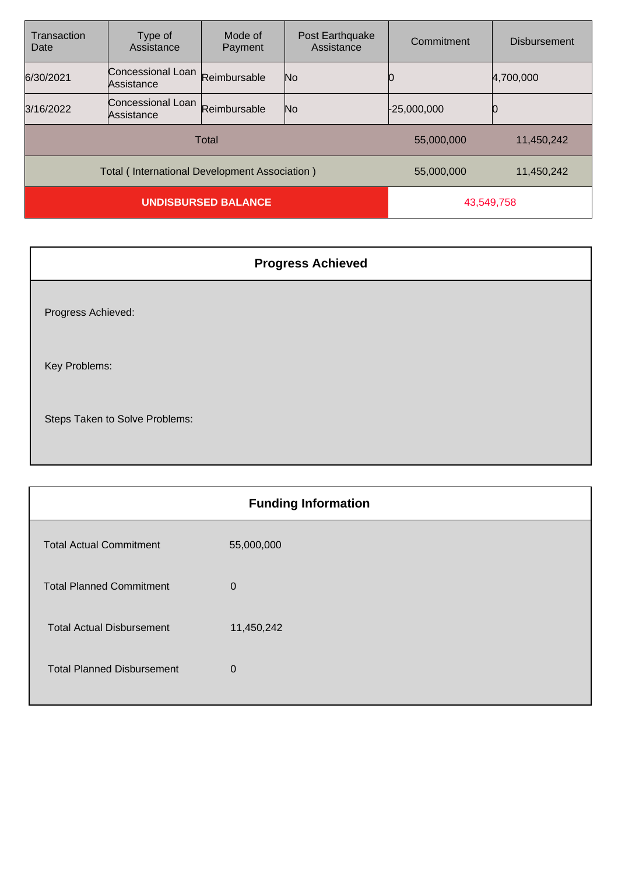| Transaction<br>Date                           | Type of<br>Assistance           | Mode of<br>Payment | Post Earthquake<br>Assistance | Commitment    | <b>Disbursement</b> |
|-----------------------------------------------|---------------------------------|--------------------|-------------------------------|---------------|---------------------|
| 6/30/2021                                     | Concessional Loan<br>Assistance | Reimbursable       | No                            |               | 4,700,000           |
| 3/16/2022                                     | Concessional Loan<br>Assistance | Reimbursable       | No                            | $-25,000,000$ |                     |
| Total                                         |                                 |                    | 55,000,000                    | 11,450,242    |                     |
| Total (International Development Association) |                                 |                    | 55,000,000                    | 11,450,242    |                     |
| <b>UNDISBURSED BALANCE</b>                    |                                 | 43,549,758         |                               |               |                     |

| <b>Progress Achieved</b>       |
|--------------------------------|
| Progress Achieved:             |
| Key Problems:                  |
| Steps Taken to Solve Problems: |

| <b>Funding Information</b>        |            |  |
|-----------------------------------|------------|--|
| <b>Total Actual Commitment</b>    | 55,000,000 |  |
| <b>Total Planned Commitment</b>   | 0          |  |
| <b>Total Actual Disbursement</b>  | 11,450,242 |  |
| <b>Total Planned Disbursement</b> | 0          |  |